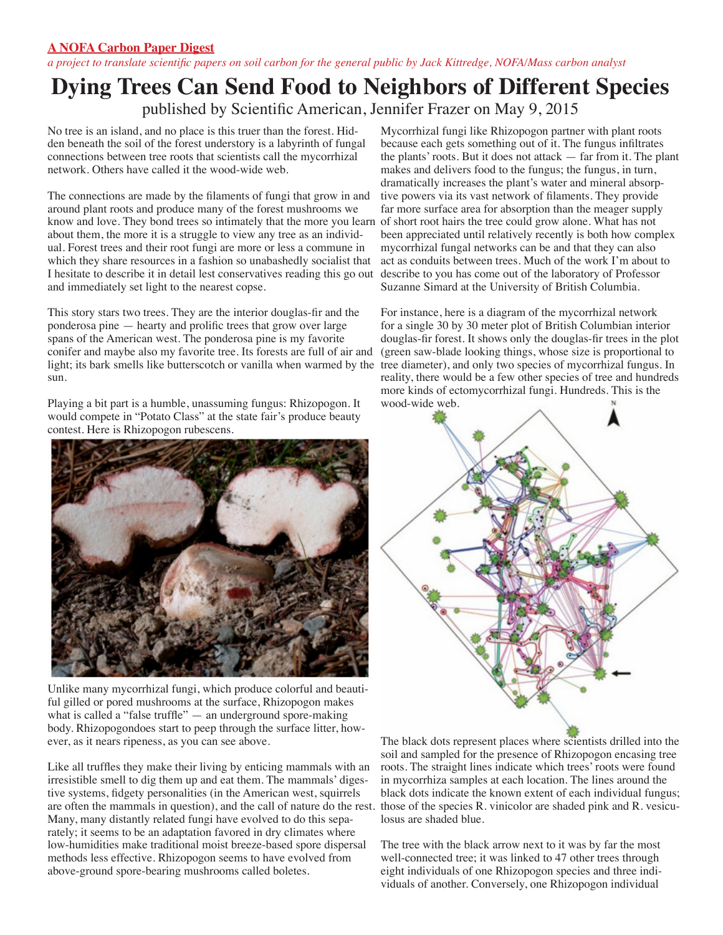## **A NOFA Carbon Paper Digest**

*a project to translate scientific papers on soil carbon for the general public by Jack Kittredge, NOFA/Mass carbon analyst*

## **Dying Trees Can Send Food to Neighbors of Different Species**

published by Scientific American, Jennifer Frazer on May 9, 2015

No tree is an island, and no place is this truer than the forest. Hidden beneath the soil of the forest understory is a labyrinth of fungal connections between tree roots that scientists call the mycorrhizal network. Others have called it the wood-wide web.

The connections are made by the filaments of fungi that grow in and around plant roots and produce many of the forest mushrooms we know and love. They bond trees so intimately that the more you learn of short root hairs the tree could grow alone. What has not about them, the more it is a struggle to view any tree as an individual. Forest trees and their root fungi are more or less a commune in which they share resources in a fashion so unabashedly socialist that I hesitate to describe it in detail lest conservatives reading this go out and immediately set light to the nearest copse.

This story stars two trees. They are the interior douglas-fir and the ponderosa pine — hearty and prolific trees that grow over large spans of the American west. The ponderosa pine is my favorite conifer and maybe also my favorite tree. Its forests are full of air and light; its bark smells like butterscotch or vanilla when warmed by the tree diameter), and only two species of mycorrhizal fungus. In sun.

Playing a bit part is a humble, unassuming fungus: Rhizopogon. It would compete in "Potato Class" at the state fair's produce beauty contest. Here is Rhizopogon rubescens.



Unlike many mycorrhizal fungi, which produce colorful and beautiful gilled or pored mushrooms at the surface, Rhizopogon makes what is called a "false truffle" — an underground spore-making body. Rhizopogondoes start to peep through the surface litter, however, as it nears ripeness, as you can see above.

Like all truffles they make their living by enticing mammals with an irresistible smell to dig them up and eat them. The mammals' digestive systems, fidgety personalities (in the American west, squirrels are often the mammals in question), and the call of nature do the rest. those of the species R. vinicolor are shaded pink and R. vesicu-Many, many distantly related fungi have evolved to do this separately; it seems to be an adaptation favored in dry climates where low-humidities make traditional moist breeze-based spore dispersal methods less effective. Rhizopogon seems to have evolved from above-ground spore-bearing mushrooms called boletes.

Mycorrhizal fungi like Rhizopogon partner with plant roots because each gets something out of it. The fungus infiltrates the plants' roots. But it does not attack — far from it. The plant makes and delivers food to the fungus; the fungus, in turn, dramatically increases the plant's water and mineral absorptive powers via its vast network of filaments. They provide far more surface area for absorption than the meager supply been appreciated until relatively recently is both how complex mycorrhizal fungal networks can be and that they can also act as conduits between trees. Much of the work I'm about to describe to you has come out of the laboratory of Professor Suzanne Simard at the University of British Columbia.

For instance, here is a diagram of the mycorrhizal network for a single 30 by 30 meter plot of British Columbian interior douglas-fir forest. It shows only the douglas-fir trees in the plot (green saw-blade looking things, whose size is proportional to reality, there would be a few other species of tree and hundreds more kinds of ectomycorrhizal fungi. Hundreds. This is the wood-wide web.



The black dots represent places where scientists drilled into the soil and sampled for the presence of Rhizopogon encasing tree roots. The straight lines indicate which trees' roots were found in mycorrhiza samples at each location. The lines around the black dots indicate the known extent of each individual fungus; losus are shaded blue.

The tree with the black arrow next to it was by far the most well-connected tree; it was linked to 47 other trees through eight individuals of one Rhizopogon species and three individuals of another. Conversely, one Rhizopogon individual